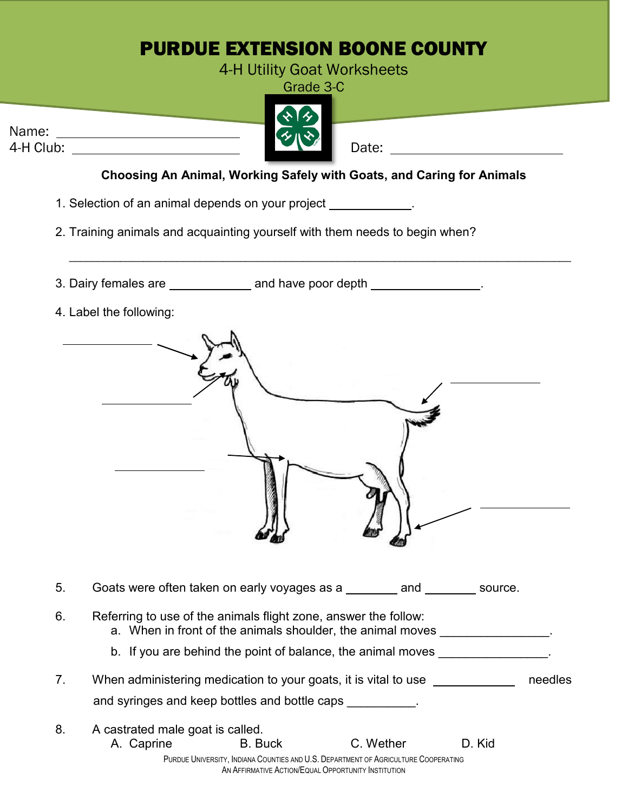## PURDUE EXTENSION BOONE COUNTY

4-H Utility Goat Worksheets

Grade 3-C

|           | ふみ  |       |
|-----------|-----|-------|
| Name:     | チルや |       |
| 4-H Club: |     | Date: |
|           |     |       |

**Choosing An Animal, Working Safely with Goats, and Caring for Animals**

\_\_\_\_\_\_\_\_\_\_\_\_\_\_\_\_\_\_\_\_\_\_\_\_\_\_\_\_\_\_\_\_\_\_\_\_\_\_\_\_\_\_\_\_\_\_\_\_\_\_\_\_\_\_\_\_\_\_\_\_\_\_\_\_\_\_\_\_\_\_\_\_\_\_\_\_\_\_\_\_\_\_\_\_\_\_\_\_

1. Selection of an animal depends on your project .

2. Training animals and acquainting yourself with them needs to begin when?

3. Dairy females are \_\_\_\_\_\_\_\_\_\_\_\_\_ and have poor depth \_\_\_\_\_\_\_\_\_\_\_\_\_\_\_\_.

4. Label the following:



| 5. |                                                                                                                               | Goats were often taken on early voyages as a                                                                     | and       | source. |         |  |
|----|-------------------------------------------------------------------------------------------------------------------------------|------------------------------------------------------------------------------------------------------------------|-----------|---------|---------|--|
| 6. | Referring to use of the animals flight zone, answer the follow:<br>a. When in front of the animals shoulder, the animal moves |                                                                                                                  |           |         |         |  |
|    |                                                                                                                               | b. If you are behind the point of balance, the animal moves                                                      |           |         |         |  |
| 7. |                                                                                                                               | When administering medication to your goats, it is vital to use<br>and syringes and keep bottles and bottle caps |           |         | needles |  |
| 8. | A castrated male goat is called.                                                                                              |                                                                                                                  |           |         |         |  |
|    | A. Caprine                                                                                                                    | <b>B.</b> Buck                                                                                                   | C. Wether | D. Kid  |         |  |
|    |                                                                                                                               | PURDUE UNIVERSITY, INDIANA COUNTIES AND U.S. DEPARTMENT OF AGRICULTURE COOPERATING                               |           |         |         |  |

AN AFFIRMATIVE ACTION/EQUAL OPPORTUNITY INSTITUTION